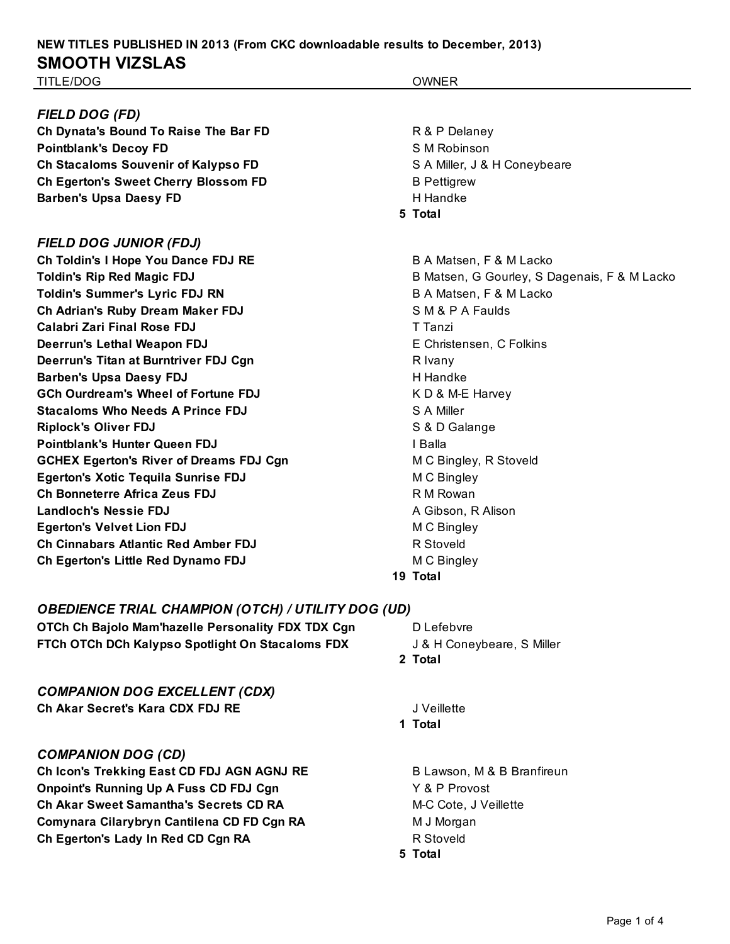# **NEW TITLES PUBLISHED IN 2013 (From CKC downloadable results to December, 2013) SMOOTH VIZSLAS**

TITLE/DOG OWNER

## *FIELD DOG (FD)*

**Ch Dynata's Bound To Raise The Bar FD Pointblank's Decoy FD Ch Stacaloms Souvenir of Kalypso FD Ch Egerton's Sweet Cherry Blossom FD Barben's Upsa Daesy FD** 

### *FIELD DOG JUNIOR (FDJ)*

**Ch Toldin's I Hope You Dance FDJ RE Toldin's Rip Red Magic FDJ Toldin's Summer's Lyric FDJ RN Ch Adrian's Ruby Dream Maker FDJ Calabri Zari Final Rose FDJ Deerrun's Lethal Weapon FDJ Deerrun's Titan at Burntriver FDJ Cgn Barben's Upsa Daesy FDJ GCh Ourdream's Wheel of Fortune FDJ Stacaloms Who Needs A Prince FDJ Riplock's Oliver FDJ Pointblank's Hunter Queen FDJ GCHEX Egerton's River of Dreams FDJ Cgn Egerton's Xotic Tequila Sunrise FDJ Ch Bonneterre Africa Zeus FDJ Landloch's Nessie FDJ Egerton's Velvet Lion FDJ Ch Cinnabars Atlantic Red Amber FDJ Ch Egerton's Little Red Dynamo FDJ** 

*COMPANION DOG EXCELLENT (CDX)* **Ch Akar Secret's Kara CDX FDJ RE** 

**Ch Icon's Trekking East CD FDJ AGN AGNJ RE Onpoint's Running Up A Fuss CD FDJ Cgn Ch Akar Sweet Samantha's Secrets CD RA** 

*COMPANION DOG (CD)*

**OBEDIENCE TRIAL CHAMPION (OTCH) / UTILITY DOG OTCh Ch Bajolo Mam'hazelle Personality FDX TDX Cgn FTCh OTCh DCh Kalypso Spotlight On Stacaloms FDX** 

|      | R & P Delaney<br>S M Robinson<br>S A Miller, J & H Coneybeare<br><b>B</b> Pettigrew<br>H Handke<br>5 Total                                                                                                                                                                                                                                                                            |
|------|---------------------------------------------------------------------------------------------------------------------------------------------------------------------------------------------------------------------------------------------------------------------------------------------------------------------------------------------------------------------------------------|
|      | B A Matsen, F & M Lacko<br>B Matsen, G Gourley, S Dagenais, F & M Lacko<br>B A Matsen, F & M Lacko<br>S M & P A Faulds<br>T Tanzi<br>E Christensen, C Folkins<br>R Ivany<br>H Handke<br>K D & M-E Harvey<br>S A Miller<br>S & D Galange<br>l Balla<br>M C Bingley, R Stoveld<br>M C Bingley<br>R M Rowan<br>A Gibson, R Alison<br>M C Bingley<br>R Stoveld<br>M C Bingley<br>19 Total |
| (UD) | D Lefebvre                                                                                                                                                                                                                                                                                                                                                                            |
|      | J & H Coneybeare, S Miller<br>2 Total                                                                                                                                                                                                                                                                                                                                                 |
|      | J Veillette<br>1 Total                                                                                                                                                                                                                                                                                                                                                                |
|      | B Lawson, M & B Branfireun<br>Y & P Provost<br>M-C Cote, J Veillette                                                                                                                                                                                                                                                                                                                  |

**Comynara Cilarybryn Cantilena CD FD Cgn RA** M J Morgan **Ch Egerton's Lady In Red CD Cgn RA** R Stoveld **5 Total**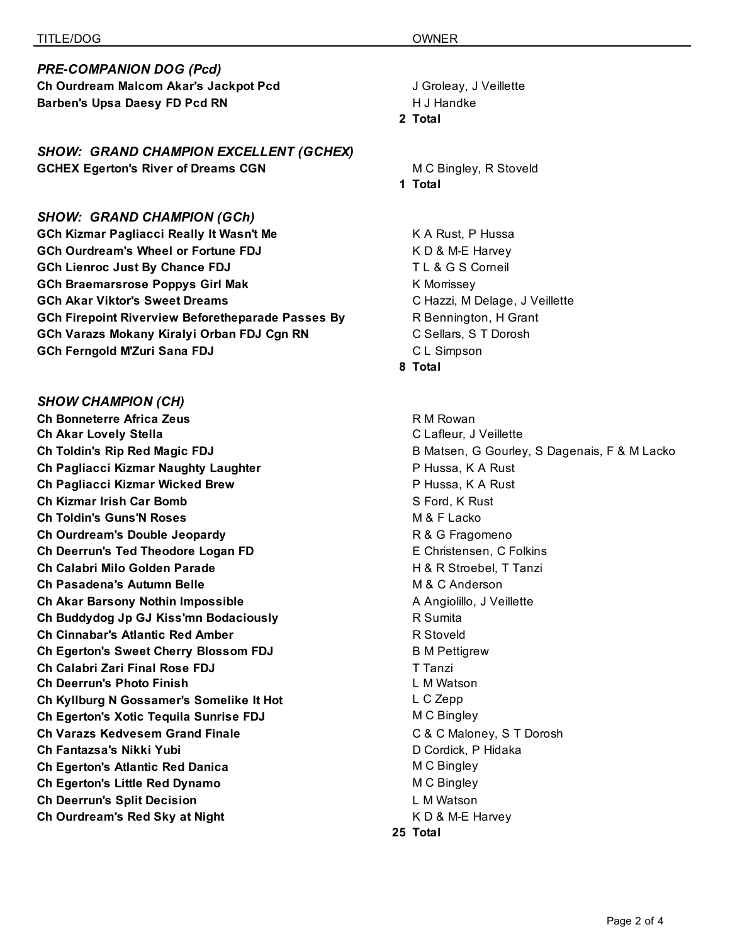#### TITLE/DOG OWNER

### *PRE-COMPANION DOG (Pcd)*

**Ch Ourdream Malcom Akar's Jackpot Pcd** J Groleay, J Veillette **Barben's Upsa Daesy FD Pcd RN** Mandke H J Handke

*SHOW: GRAND CHAMPION EXCELLENT (GCHEX)* **GCHEX Egerton's River of Dreams CGN MIC Bingley, R Stoveld MIC Bingley, R Stoveld** 

#### *SHOW: GRAND CHAMPION (GCh)*

**GCh Kizmar Pagliacci Really It Wasn't Me** K A Rust, P Hussa **GCh Ourdream's Wheel or Fortune FDJ** K D & M-E Harvey **GCh Lienroc Just By Chance FDJ TL & G S Corneil GCh Braemarsrose Poppys Girl Mak** K Morrissey **GCh Akar Viktor's Sweet Dreams** Chazzi, M Delage, J Veillette **GCh Firepoint Riverview Beforetheparade Passes By Rennington, H Grant** GCh Varazs Mokany Kiralyi Orban FDJ Cgn RN C Sellars, S T Dorosh **GCh Ferngold M'Zuri Sana FDJ** CL Simpson

#### *SHOW CHAMPION (CH)*

**Ch Bonneterre Africa Zeus R M Rowan Ch Akar Lovely Stella** C Lafleur, J Veillette **Ch Pagliacci Kizmar Naughty Laughter P** Hussa, K A Rust **Ch Pagliacci Kizmar Wicked Brew Night Children State Children Pillips Article Pillips Article Pillips Article P Ch Kizmar Irish Car Bomb** S Ford, K Rust **Ch Toldin's Guns'N Roses** M & F Lacko **Ch Ourdream's Double Jeopardy Charlotte Charlotte Charlotte R & G Fragomeno Ch Deerrun's Ted Theodore Logan FD E Christensen, C Folkins Ch Calabri Milo Golden Parade H** & R Stroebel, T Tanzi **Ch Pasadena's Autumn Belle** M & C Anderson **Ch Akar Barsony Nothin Impossible Chicago A Angiolillo, J Veillette Ch Buddydog Jp GJ Kiss'mn Bodaciously R** Sumita **Ch Cinnabar's Atlantic Red Amber R Stoveld Ch Egerton's Sweet Cherry Blossom FDJ** B M Pettigrew **Ch Calabri Zari Final Rose FDJ** T Tanzi **Ch Deerrun's Photo Finish L M Watson L M Watson Ch Kyllburg N Gossamer's Somelike It Hot** L C Zepp **Ch Egerton's Xotic Tequila Sunrise FDJ** M C Bingley **Ch Varazs Kedvesem Grand Finale** C **C** & C Maloney, S T Dorosh **Ch Fantazsa's Nikki Yubi** D Cordick, P Hidaka **Ch Egerton's Atlantic Red Danica** M C Bingley **Ch Egerton's Little Red Dynamo** M C Bingley **Ch Deerrun's Split Decision L M Watson Ch Ourdream's Red Sky at Night K D & M-E Harvey** 

## **2 Total**

**1 Total**

**8 Total**

**Ch Toldin's Rip Red Magic FDJ B Matsen, G Gourley, S Dagenais, F & M Lacko** 

**25 Total**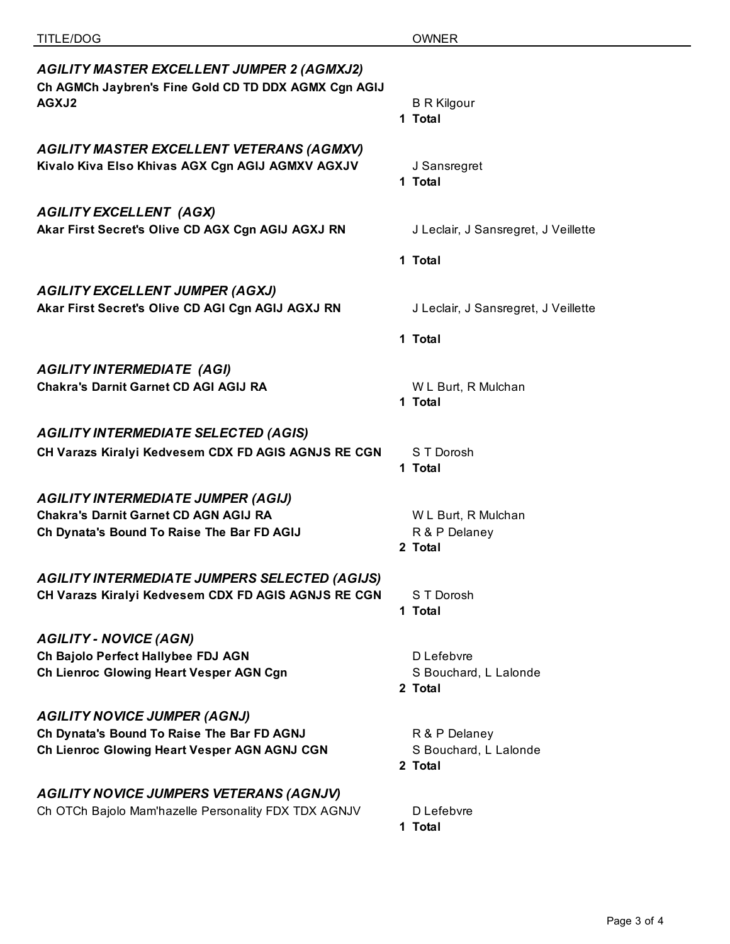| TITLE/DOG                                                                                                   | <b>OWNER</b>                              |
|-------------------------------------------------------------------------------------------------------------|-------------------------------------------|
| AGILITY MASTER EXCELLENT JUMPER 2 (AGMXJ2)<br>Ch AGMCh Jaybren's Fine Gold CD TD DDX AGMX Cgn AGIJ<br>AGXJ2 | <b>B R Kilgour</b><br>1 Total             |
| <b>AGILITY MASTER EXCELLENT VETERANS (AGMXV)</b>                                                            | J Sansregret                              |
| Kivalo Kiva Elso Khivas AGX Cgn AGIJ AGMXV AGXJV                                                            | 1 Total                                   |
| <b>AGILITY EXCELLENT (AGX)</b>                                                                              | J Leclair, J Sansregret, J Veillette      |
| Akar First Secret's Olive CD AGX Cgn AGIJ AGXJ RN                                                           | 1 Total                                   |
| <b>AGILITY EXCELLENT JUMPER (AGXJ)</b><br>Akar First Secret's Olive CD AGI Cgn AGIJ AGXJ RN                 | J Leclair, J Sansregret, J Veillette      |
| <b>AGILITY INTERMEDIATE (AGI)</b><br><b>Chakra's Darnit Garnet CD AGI AGIJ RA</b>                           | 1 Total<br>W L Burt, R Mulchan<br>1 Total |
| <b>AGILITY INTERMEDIATE SELECTED (AGIS)</b>                                                                 | S T Dorosh                                |
| CH Varazs Kiralyi Kedvesem CDX FD AGIS AGNJS RE CGN                                                         | 1 Total                                   |
| <b>AGILITY INTERMEDIATE JUMPER (AGIJ)</b>                                                                   | W L Burt, R Mulchan                       |
| <b>Chakra's Darnit Garnet CD AGN AGIJ RA</b>                                                                | R & P Delaney                             |
| Ch Dynata's Bound To Raise The Bar FD AGIJ                                                                  | 2 Total                                   |
| <b>AGILITY INTERMEDIATE JUMPERS SELECTED (AGIJS)</b>                                                        | S T Dorosh                                |
| CH Varazs Kiralyi Kedvesem CDX FD AGIS AGNJS RE CGN                                                         | 1 Total                                   |
| <b>AGILITY - NOVICE (AGN)</b>                                                                               | D Lefebvre                                |
| Ch Bajolo Perfect Hallybee FDJ AGN                                                                          | S Bouchard, L Lalonde                     |
| Ch Lienroc Glowing Heart Vesper AGN Cgn                                                                     | 2 Total                                   |
| <b>AGILITY NOVICE JUMPER (AGNJ)</b>                                                                         | R & P Delaney                             |
| Ch Dynata's Bound To Raise The Bar FD AGNJ                                                                  | S Bouchard, L Lalonde                     |
| Ch Lienroc Glowing Heart Vesper AGN AGNJ CGN                                                                | 2 Total                                   |
| <b>AGILITY NOVICE JUMPERS VETERANS (AGNJV)</b>                                                              | D Lefebvre                                |
| Ch OTCh Bajolo Mam'hazelle Personality FDX TDX AGNJV                                                        | 1 Total                                   |